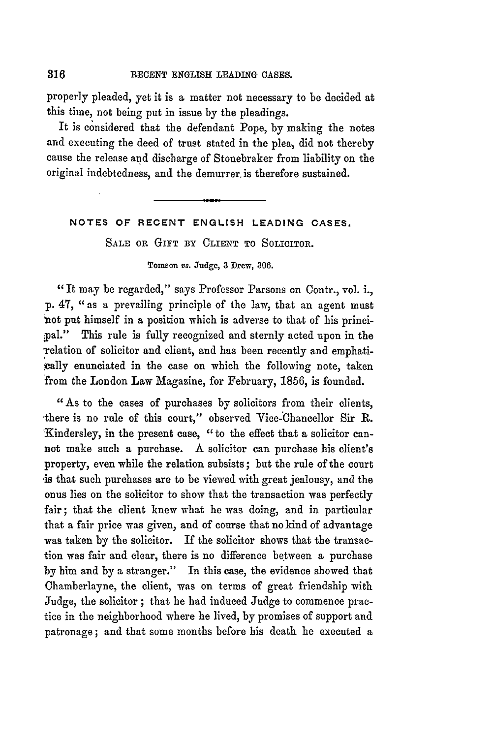316

properly pleaded, yet it is a matter not necessary to be decided at this time, not being put in issue by the pleadings.

It is considered that the defendant Pope, by making the notes and executing the deed of trust stated in the plea, did not thereby cause the release and discharge of Stonebraker from liability on the original indebtedness, and the demurrer, is therefore sustained.

**NOTES OF RECENT ENGLISH LEADING CASES.**

**SALE OR GIFT BY** CLIENT TO SOLICITOR.

## **Tomson vs. Judge, 3 Drew, 306.**

"It may be regarded," says Professor Parsons on Contr., vol. i., p. 47, "as a prevailing principle of the law, that an agent must not put himself in a position which is adverse to that of his principal." This rule is fully recognized and sternly acted upon in the Telation of solicitor and client, and has been recently and emphatically enunciated in the case on which the following note, taken from the London Law Magazine, for February, **1856,** is founded.

"As to the cases of purchases by solicitors from their clients, there is no rule of this court," observed Vice-Chancellor Sir R. 'Kindersley, in the present case, "to the effect that a solicitor cannot make such a purchase. A solicitor can purchase his client's property, even while the relation subsists; but the rule of the court -is that such purchases are to be viewed with great jealousy, and the onus lies on the solicitor to show that the transaction was perfectly fair; that the client knew what he was doing, and in particular that a fair price was given, and of course that no kind of advantage was taken **by** the solicitor. If the solicitor shows that the transaction was fair and clear, there is no difference between a purchase by him and by a stranger." In this case, the evidence showed that Chamberlayne, the client, was on terms of great friendship with Judge, the solicitor ; that he had induced Judge to commence practice in the neighborhood where he lived, by promises of support and patronage; and that some months before his death he executed a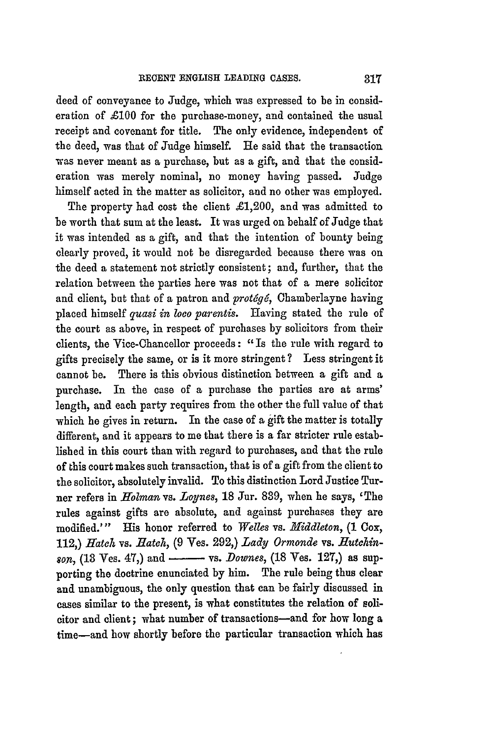deed of conveyance to Judge, which was expressed to be in consideration of  $\pounds 100$  for the purchase-money, and contained the usual receipt and covenant for title. The only evidence, independent of the deed, was that of Judge himself. He said that the transaction was never meant as a purchase, but as a gift, and that the consideration was merely nominal, no money having passed. Judge himself acted in the matter as solicitor, and no other was employed.

The property had cost the client  $\pounds1,200$ , and was admitted to be worth that sum at the least. It was urged on behalf of Judge that it was intended as a gift, and that the intention of bounty being clearly proved, it would not be disregarded because there was on the deed a statement not strictly consistent; and, further, that the relation between the parties here was not that of a mere solicitor and client, but that of a patron and *prot6g6,* Chamberlayne having placed himself *quasi in loco parentis.* Having stated the rule of the court as above, in respect of purchases **by** solicitors from their clients, the Vice-Chancellor proceeds: "Is the rule with regard to gifts precisely the same, or is it more stringent? Less stringent it cannot be. There is this obvious distinction between a gift and a purchase. In the case of a purchase the parties are at arms' length, and each party requires from the other the full value of that which he gives in return. In the case of a gift the matter is totally different, and it appears to me that there is a far stricter rule established in this court than with regard to purchases, and that the rule of this court makes such transaction, that is of a gift from the client to the solicitor, absolutely invalid. To this distinction Lord Justice Turner refers in *Holman* vs. *Loynes*, 18 Jur. 839, when he says, 'The rules against gifts are absolute, and against purchases they are modified."' His honor referred to *Welles* vs. *Middleton,* **(1** Cox, 112,) *Hatch* vs. *Jatch,* (9 Yes. **292,)** *Lady Ormonde* vs. *ffutckinson,* (18 Ves. 47,) and **-** vs. *Downes,* (18 Yes. 127,) as supporting the doctrine enunciated by him. The rule being thus clear **and** unambiguous, the only question that can be fairly discussed in cases similar to the present, is what constitutes the relation of solicitor and client; what number of transactions-and for how long a time-and how shortly before the particular transaction which has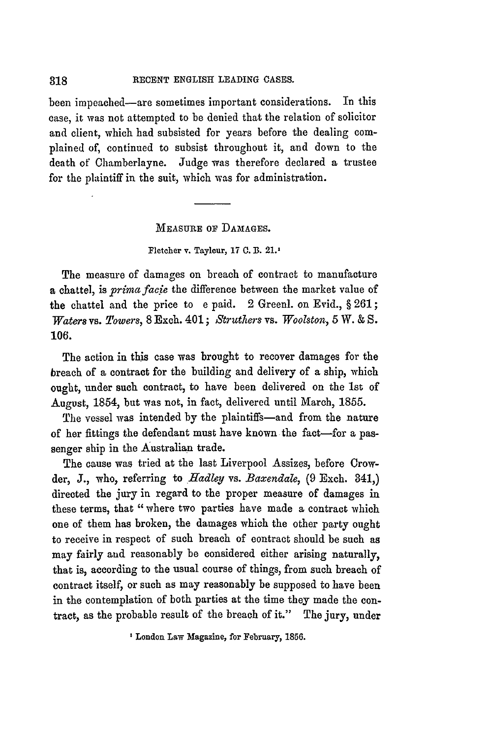been impeached-are sometimes important considerations. In this case, it was not attempted to be denied that the relation of solicitor and client, which had subsisted for years before the dealing complained of, continued to subsist throughout it, and down to the death of Chamberlayne. Judge was therefore declared a trustee for the plaintiff in the suit, which was for administration.

**MEASURE** OF **DAMAGES.**

## **Fletcher v. Tayleur, 17 C. B. 21.'**

The measure of damages on breach of contract to manufacture a chattel, is *prima facie* the difference between the market value of the chattel and the price to e paid. 2 Greenl. on Evid., § **261;** *Waters* vs. *Towers,* 8 Exch. 401 ; *Struthers* vs. *Woolston,* 5 W. & *S.* 106.

The action in this case was brought to recover damages for the breach of a contract for the building and delivery of a ship, which ought, under such contract, to have been delivered on the 1st of August, 1854, but was not, in fact, delivered until March, 1855.

The vessel was intended by the plaintiffs-and from the nature of her fittings the defendant must have known the fact-for a passenger ship in the Australian trade.

The cause was tried at the last Liverpool Assizes, before Crowder, **J.,** who, referring to *Hadley* vs. *Baxendale,* (9 Exch. 841,) directed the jury in regard to the proper measure of damages in these terms, that "where two parties have made a contract which one of them has broken, the damages which the other party ought to receive in respect of such breach of contract should be such as may fairly aud reasonably be considered either arising naturally, that is, according to the usual course of things, from such breach of contract itself, or such as may reasonably be supposed to have been in the contemplation of both parties at the time they made the contract, as the probable result of the breach of it." The jury, under

**I** London **Law Magazine, for February, 1856.**